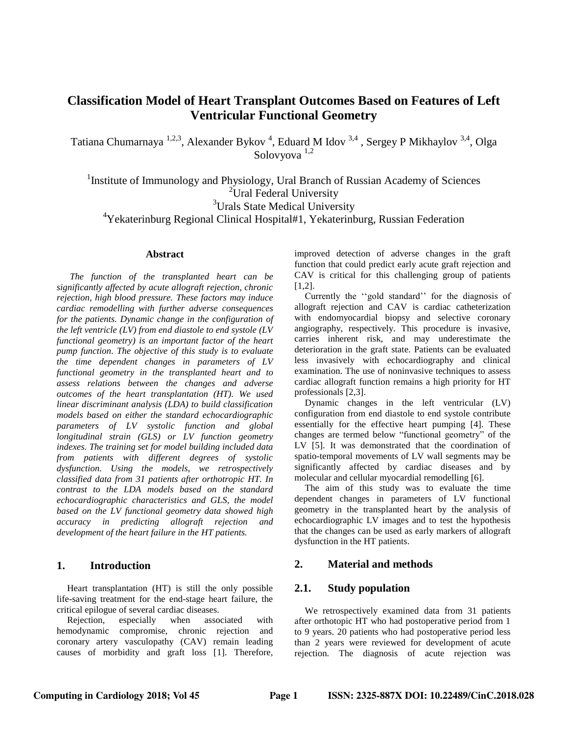# **Classification Model of Heart Transplant Outcomes Based on Features of Left Ventricular Functional Geometry**

Tatiana Chumarnaya <sup>1,2,3</sup>, Alexander Bykov<sup>4</sup>, Eduard M Idov<sup>3,4</sup>, Sergey P Mikhaylov<sup>3,4</sup>, Olga Solovyova 1,2

<sup>1</sup> Institute of Immunology and Physiology, Ural Branch of Russian Academy of Sciences <sup>2</sup>Ural Federal University <sup>3</sup>Urals State Medical University

<sup>4</sup>Yekaterinburg Regional Clinical Hospital#1, Yekaterinburg, Russian Federation

#### **Abstract**

*The function of the transplanted heart can be significantly affected by acute allograft rejection, chronic rejection, high blood pressure. These factors may induce cardiac remodelling with further adverse consequences for the patients. Dynamic change in the configuration of the left ventricle (LV) from end diastole to end systole (LV functional geometry) is an important factor of the heart pump function. The objective of this study is to evaluate the time dependent changes in parameters of LV functional geometry in the transplanted heart and to assess relations between the changes and adverse outcomes of the heart transplantation (HT). We used linear discriminant analysis (LDA) to build classification models based on either the standard echocardiographic parameters of LV systolic function and global longitudinal strain (GLS) or LV function geometry indexes. The training set for model building included data from patients with different degrees of systolic dysfunction. Using the models, we retrospectively classified data from 31 patients after orthotropic HT. In contrast to the LDA models based on the standard echocardiographic characteristics and GLS, the model based on the LV functional geometry data showed high accuracy in predicting allograft rejection and development of the heart failure in the HT patients.*

# **1. Introduction**

Heart transplantation (HT) is still the only possible life-saving treatment for the end-stage heart failure, the critical epilogue of several cardiac diseases.

Rejection, especially when associated with hemodynamic compromise, chronic rejection and coronary artery vasculopathy (CAV) remain leading causes of morbidity and graft loss [1]. Therefore,

improved detection of adverse changes in the graft function that could predict early acute graft rejection and CAV is critical for this challenging group of patients [1,2].

Currently the ''gold standard'' for the diagnosis of allograft rejection and CAV is cardiac catheterization with endomyocardial biopsy and selective coronary angiography, respectively. This procedure is invasive, carries inherent risk, and may underestimate the deterioration in the graft state. Patients can be evaluated less invasively with echocardiography and clinical examination. The use of noninvasive techniques to assess cardiac allograft function remains a high priority for HT professionals [2,3].

Dynamic changes in the left ventricular (LV) configuration from end diastole to end systole contribute essentially for the effective heart pumping [4]. These changes are termed below "functional geometry" of the LV [5]. It was demonstrated that the coordination of spatio-temporal movements of LV wall segments may be significantly affected by cardiac diseases and by molecular and cellular myocardial remodelling [6].

The aim of this study was to evaluate the time dependent changes in parameters of LV functional geometry in the transplanted heart by the analysis of echocardiographic LV images and to test the hypothesis that the changes can be used as early markers of allograft dysfunction in the HT patients.

### **2. Material and methods**

# **2.1. Study population**

We retrospectively examined data from 31 patients after orthotopic HT who had postoperative period from 1 to 9 years. 20 patients who had postoperative period less than 2 years were reviewed for development of acute rejection. The diagnosis of acute rejection was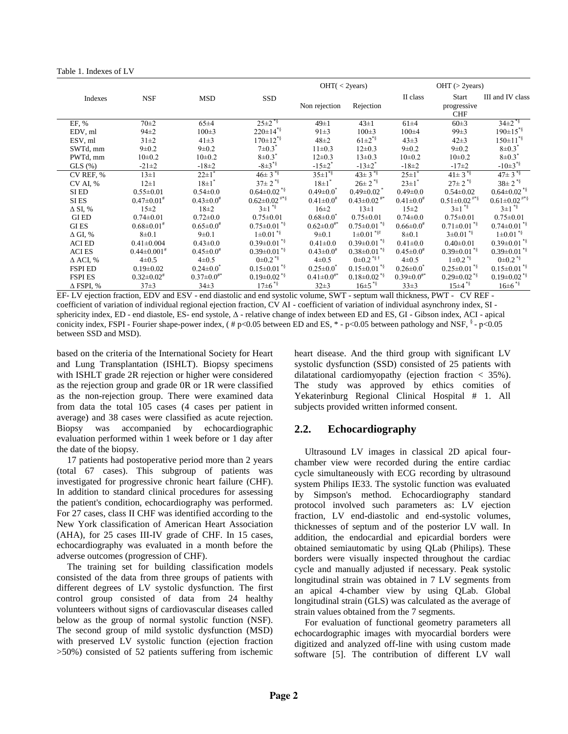Table 1. Indexes of LV

|                    |                               | OHT( <sub>2</sub> years)    |                                |                             | $OHT$ ( $>$ 2years)           |                             |                                |                                |
|--------------------|-------------------------------|-----------------------------|--------------------------------|-----------------------------|-------------------------------|-----------------------------|--------------------------------|--------------------------------|
| Indexes            | <b>NSF</b>                    | <b>MSD</b>                  | SSD                            |                             |                               | II class                    | Start                          | III and IV class               |
|                    |                               |                             |                                | Non rejection               | Rejection                     |                             | progressive<br><b>CHF</b>      |                                |
| EF, %              | $70 + 2$                      | $65\pm4$                    | $25 \pm 2^{*5}$                | $49 \pm 1$                  | $43\pm1$                      | $61\pm4$                    | 60±3                           | $34\pm2^{*}\$                  |
| EDV, ml            | $94\pm2$                      | $100 \pm 3$                 | $220 \pm 14^{*8}$              | $91 \pm 3$                  | $100 \pm 3$                   | $100 + 4$                   | $99 \pm 3$                     | $190 \pm 15$ <sup>*§</sup>     |
| ESV, ml            | $31 \pm 2$                    | $41\pm3$                    | $170 \pm 12^{*}$               | $48 + 2$                    | $61 \pm 2^{*}\$               | $43\pm3$                    | $42 + 3$                       | $150 \pm 11^{*}$               |
| SWTd, mm           | $9 + 0.2$                     | $9 \pm 0.2$                 | $7 \pm 0.3$                    | $11\pm0.3$                  | $12\pm0.3$                    | $9 \pm 0.2$                 | $9 + 0.2$                      | $8 \pm 0.3$                    |
| PWTd, mm           | $10\pm0.2$                    | $10\pm0.2$                  | $8 \pm 0.3$                    | $12\pm0.3$                  | $13 \pm 0.3$                  | $10\pm0.2$                  | $10\pm0.2$                     | $8 \pm 0.3$                    |
| $GLS(\%)$          | $-21 \pm 2$                   | $-18\pm2$                   | $-8\pm3^{*5}$                  | $-15\pm2$ <sup>*</sup>      | $-13\pm2$ <sup>*</sup>        | $-18+2$                     | $-17\pm2$                      | $-10\pm3^{*}\$                 |
| CV REF, %          | $13\pm1$                      | $22 \pm 1$ <sup>*</sup>     | $46 \pm 3$ <sup>*§</sup>       | $35 \pm 1^{8}$              | $43 \pm 3$ <sup>*§</sup>      | $25 \pm 1$ <sup>*</sup>     | $41 \pm 3$ <sup>*§</sup>       | $47 \pm 3$ <sup>*§</sup>       |
| CV AI, %           | $12 \pm 1$                    | $18 \pm 1$ <sup>*</sup>     | $37\pm2$ * $\frac{1}{3}$       | $18 \pm 1$ <sup>*</sup>     | $26 \pm 2$ <sup>*§</sup>      | $23 \pm 1$ <sup>*</sup>     | $27 \pm 2$ <sup>*§</sup>       | $38 \pm 2^{*}\$                |
| SI ED              | $0.55 \pm 0.01$               | $0.54 \pm 0.0$              | $0.64 \pm 0.02$ <sup>*§</sup>  | $0.49 \pm 0.0^*$            | $0.49 \pm 0.02$ <sup>*</sup>  | $0.49 \pm 0.0$              | $0.54 \pm 0.02$                | $0.64 \pm 0.02$ <sup>*§</sup>  |
| SI ES              | $0.47 \pm 0.01$ <sup>#</sup>  | $0.43 \pm 0.0$ <sup>#</sup> | $0.62 \pm 0.02$ <sup>#*§</sup> | $0.41 \pm 0.0^*$            | $0.43 \pm 0.02$ <sup>#*</sup> | $0.41 \pm 0.0^*$            | $0.51 \pm 0.02$ <sup>#*§</sup> | $0.61 \pm 0.02$ <sup>#*§</sup> |
| $\Delta$ SI, %     | $15 \pm 2$                    | $18\pm2$                    | $3\pm1$ * $\frac{1}{3}$        | $16\pm2$                    | $13\pm1$                      | $15 \pm 2$                  | $3\pm1$ <sup>*§</sup>          | $3\pm1$ * $\frac{1}{3}$        |
| <b>GIED</b>        | $0.74 \pm 0.01$               | $0.72 \pm 0.0$              | $0.75 \pm 0.01$                | $0.68 \pm 0.0^*$            | $0.75 \pm 0.01$               | $0.74 \pm 0.0$              | $0.75 \pm 0.01$                | $0.75 \pm 0.01$                |
| <b>GIES</b>        | $0.68 \pm 0.01$ <sup>#</sup>  | $0.65 \pm 0.0$ <sup>#</sup> | $0.75 \pm 0.01$ *§             | $0.62 \pm 0.0^{**}$         | $0.75 \pm 0.01$ <sup>*§</sup> | $0.66 \pm 0.0$ <sup>#</sup> | $0.71 \pm 0.01$ **             | $0.74 \pm 0.01$ <sup>*§</sup>  |
| $\Delta$ GI, %     | $8 + 0.1$                     | $9 \pm 0.1$                 | $1\pm0.01$ *§                  | $9 \pm 0.1$                 | $1\pm0.01$ * $\frac{5}{3}$    | $8 + 0.1$                   | $3 \pm 0.01$ *§                | $1\pm0.01$ <sup>*§</sup>       |
| <b>ACIED</b>       | $0.41 \pm 0.004$              | $0.43 \pm 0.0$              | $0.39 \pm 0.01$ <sup>*§</sup>  | $0.41 \pm 0.0$              | $0.39 \pm 0.01$ <sup>*§</sup> | $0.41 \pm 0.0$              | $0.40 \pm 0.01$                | $0.39 \pm 0.01$ <sup>*§</sup>  |
| <b>ACIES</b>       | $0.44 \pm 0.001$ <sup>#</sup> | $0.45 \pm 0.0^*$            | $0.39 \pm 0.01$ <sup>*§</sup>  | $0.43 \pm 0.0$ <sup>*</sup> | $0.38 \pm 0.01$ <sup>*§</sup> | $0.45 \pm 0.0^*$            | $0.39 \pm 0.01$ <sup>*§</sup>  | $0.39 \pm 0.01$ <sup>*§</sup>  |
| $\triangle$ ACI, % | $4\pm 0.5$                    | $4\pm 0.5$                  | $0\pm 0.2$ *§                  | $4\pm0.5$                   | $0\pm0.2$ <sup>*§ †</sup>     | $4\pm0.5$                   | $1\pm0.2$ <sup>*§</sup>        | $0\pm 0.2$ <sup>*§</sup>       |
| <b>FSPI ED</b>     | $0.19 \pm 0.02$               | $0.24 \pm 0.0^*$            | $0.15 \pm 0.01$ <sup>*§</sup>  | $0.25 \pm 0.0^*$            | $0.15 \pm 0.01$ <sup>*§</sup> | $0.26 \pm 0.0^*$            | $0.25 \pm 0.01$ <sup>*§</sup>  | $0.15 \pm 0.01$ <sup>*§</sup>  |
| <b>FSPI ES</b>     | $0.32 \pm 0.02$ <sup>#</sup>  | $0.37 \pm 0.0^{**}$         | $0.19 \pm 0.02$ <sup>*§</sup>  | $0.41 \pm 0.0^{**}$         | $0.18 \pm 0.02$ <sup>*§</sup> | $0.39 \pm 0.0^{**}$         | $0.29 \pm 0.02$ <sup>*§</sup>  | $0.19 \pm 0.02$ <sup>*§</sup>  |
| $\Delta$ FSPI, %   | $37 + 3$                      | $34\pm3$                    | $17\pm6$ * §                   | $32\pm3$                    | $16 \pm 5$ <sup>*§</sup>      | 33±3                        | $15\pm4$ * $\frac{15}{3}$      | $16 \pm 6$ * $\frac{1}{3}$     |

EF- LV ejection fraction, EDV and ESV - end diastolic and end systolic volume, SWT - septum wall thickness, PWT - CV REF coefficient of variation of individual regional ejection fraction, CV AI - coefficient of variation of individual asynchrony index, SI sphericity index, ED - end diastole, ES- end systole, Δ - relative change of index between ED and ES, GI - Gibson index, ACI - apical conicity index, FSPI - Fourier shape-power index, (#p<0.05 between ED and ES, \* - p<0.05 between pathology and NSF,  $\frac{8}{7}$  - p<0.05 between SSD and MSD).

based on the criteria of the International Society for Heart and Lung Transplantation (ISHLT). Biopsy specimens with ISHLT grade 2R rejection or higher were considered as the rejection group and grade 0R or 1R were classified as the non-rejection group. There were examined data from data the total 105 cases (4 cases per patient in average) and 38 cases were classified as acute rejection. Biopsy was accompanied by echocardiographic evaluation performed within 1 week before or 1 day after the date of the biopsy.

17 patients had postoperative period more than 2 years (total 67 cases). This subgroup of patients was investigated for progressive chronic heart failure (CHF). In addition to standard clinical procedures for assessing the patient's condition, echocardiography was performed. For 27 cases, class II CHF was identified according to the New York classification of American Heart Association (AHA), for 25 cases III-IV grade of CHF. In 15 cases, echocardiography was evaluated in a month before the adverse outcomes (progression of CHF).

The training set for building classification models consisted of the data from three groups of patients with different degrees of LV systolic dysfunction. The first control group consisted of data from 24 healthy volunteers without signs of cardiovascular diseases called below as the group of normal systolic function (NSF). The second group of mild systolic dysfunction (MSD) with preserved LV systolic function (ejection fraction >50%) consisted of 52 patients suffering from ischemic

heart disease. And the third group with significant LV systolic dysfunction (SSD) consisted of 25 patients with dilatational cardiomyopathy (ejection fraction  $\langle 35\% \rangle$ ). The study was approved by ethics comities of Yekaterinburg Regional Clinical Hospital # 1. All subjects provided written informed consent.

# **2.2. Echocardiography**

Ultrasound LV images in classical 2D apical fourchamber view were recorded during the entire cardiac cycle simultaneously with ECG recording by ultrasound system Philips IE33. The systolic function was evaluated by Simpson's method. Echocardiography standard protocol involved such parameters as: LV ejection fraction, LV end-diastolic and end-systolic volumes, thicknesses of septum and of the posterior LV wall. In addition, the endocardial and epicardial borders were obtained semiautomatic by using QLab (Philips). These borders were visually inspected throughout the cardiac cycle and manually adjusted if necessary. Peak systolic longitudinal strain was obtained in 7 LV segments from an apical 4-chamber view by using QLab. Global longitudinal strain (GLS) was calculated as the average of strain values obtained from the 7 segments.

For evaluation of functional geometry parameters all echocardographic images with myocardial borders were digitized and analyzed off-line with using custom made software [5]. The contribution of different LV wall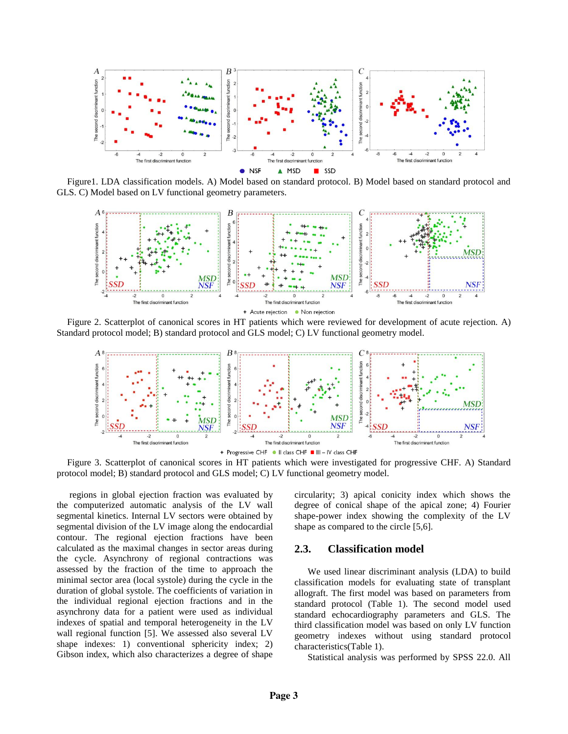

Figure1. LDA classification models. A) Model based on standard protocol. B) Model based on standard protocol and GLS. C) Model based on LV functional geometry parameters.



Figure 2. Scatterplot of canonical scores in HT patients which were reviewed for development of acute rejection. A) Standard protocol model; B) standard protocol and GLS model; C) LV functional geometry model.



Figure 3. Scatterplot of canonical scores in HT patients which were investigated for progressive CHF. A) Standard protocol model; B) standard protocol and GLS model; C) LV functional geometry model.

regions in global ejection fraction was evaluated by the computerized automatic analysis of the LV wall segmental kinetics. Internal LV sectors were obtained by segmental division of the LV image along the endocardial contour. The regional ejection fractions have been calculated as the maximal changes in sector areas during the cycle. Asynchrony of regional contractions was assessed by the fraction of the time to approach the minimal sector area (local systole) during the cycle in the duration of global systole. The coefficients of variation in the individual regional ejection fractions and in the asynchrony data for a patient were used as individual indexes of spatial and temporal heterogeneity in the LV wall regional function [5]. We assessed also several LV shape indexes: 1) conventional sphericity index; 2) Gibson index, which also characterizes a degree of shape

circularity; 3) apical conicity index which shows the degree of conical shape of the apical zone; 4) Fourier shape-power index showing the complexity of the LV shape as compared to the circle [5,6].

#### **2.3. Classification model**

We used linear discriminant analysis (LDA) to build classification models for evaluating state of transplant allograft. The first model was based on parameters from standard protocol (Table 1). The second model used standard echocardiography parameters and GLS. The third classification model was based on only LV function geometry indexes without using standard protocol characteristics(Table 1).

Statistical analysis was performed by SPSS 22.0. All